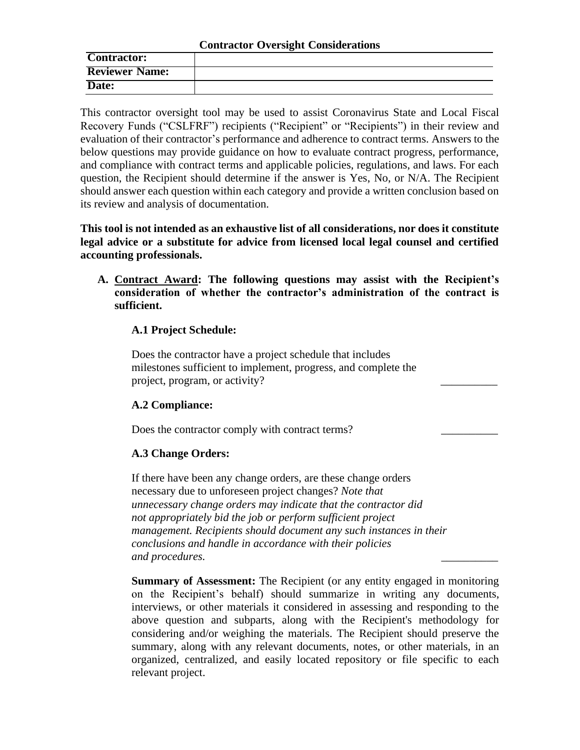### **Contractor Oversight Considerations**

| <b>Contractor:</b>    |  |
|-----------------------|--|
| <b>Reviewer Name:</b> |  |
| Date:                 |  |

This contractor oversight tool may be used to assist Coronavirus State and Local Fiscal Recovery Funds ("CSLFRF") recipients ("Recipient" or "Recipients") in their review and evaluation of their contractor's performance and adherence to contract terms. Answers to the below questions may provide guidance on how to evaluate contract progress, performance, and compliance with contract terms and applicable policies, regulations, and laws. For each question, the Recipient should determine if the answer is Yes, No, or N/A. The Recipient should answer each question within each category and provide a written conclusion based on its review and analysis of documentation.

**This tool is not intended as an exhaustive list of all considerations, nor does it constitute legal advice or a substitute for advice from licensed local legal counsel and certified accounting professionals.**

**A. Contract Award: The following questions may assist with the Recipient's consideration of whether the contractor's administration of the contract is sufficient.** 

## **A.1 Project Schedule:**

Does the contractor have a project schedule that includes milestones sufficient to implement, progress, and complete the project, program, or activity? \_\_\_\_\_\_\_\_\_\_

# **A.2 Compliance:**

Does the contractor comply with contract terms?

# **A.3 Change Orders:**

If there have been any change orders, are these change orders necessary due to unforeseen project changes? *Note that unnecessary change orders may indicate that the contractor did not appropriately bid the job or perform sufficient project management. Recipients should document any such instances in their conclusions and handle in accordance with their policies and procedures.* \_\_\_\_\_\_\_\_\_\_

**Summary of Assessment:** The Recipient (or any entity engaged in monitoring on the Recipient's behalf) should summarize in writing any documents, interviews, or other materials it considered in assessing and responding to the above question and subparts, along with the Recipient's methodology for considering and/or weighing the materials. The Recipient should preserve the summary, along with any relevant documents, notes, or other materials, in an organized, centralized, and easily located repository or file specific to each relevant project.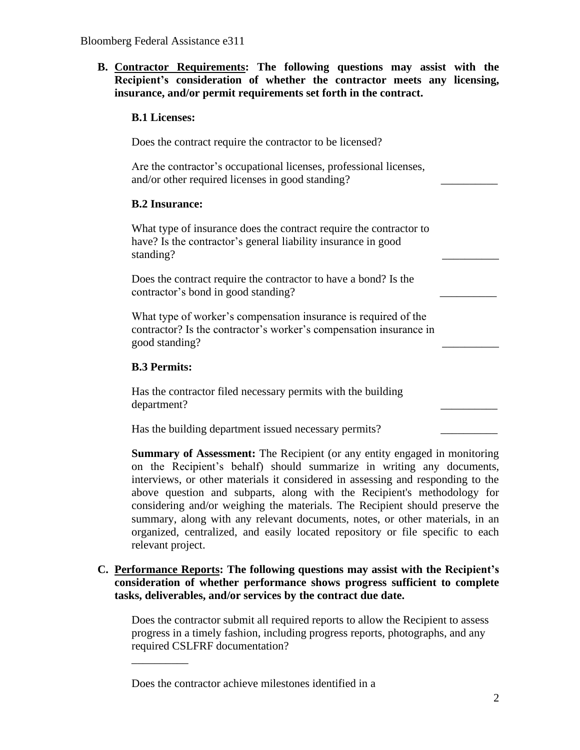**B. Contractor Requirements: The following questions may assist with the Recipient's consideration of whether the contractor meets any licensing, insurance, and/or permit requirements set forth in the contract.**

### **B.1 Licenses:**

Does the contract require the contractor to be licensed?

Are the contractor's occupational licenses, professional licenses, and/or other required licenses in good standing?

## **B.2 Insurance:**

What type of insurance does the contract require the contractor to have? Is the contractor's general liability insurance in good standing?

Does the contract require the contractor to have a bond? Is the contractor's bond in good standing? \_\_\_\_\_\_\_\_\_\_

What type of worker's compensation insurance is required of the contractor? Is the contractor's worker's compensation insurance in good standing? \_\_\_\_\_\_\_\_\_\_

## **B.3 Permits:**

\_\_\_\_\_\_\_\_\_\_

Has the contractor filed necessary permits with the building department? \_\_\_\_\_\_\_\_\_\_

Has the building department issued necessary permits?

**Summary of Assessment:** The Recipient (or any entity engaged in monitoring on the Recipient's behalf) should summarize in writing any documents, interviews, or other materials it considered in assessing and responding to the above question and subparts, along with the Recipient's methodology for considering and/or weighing the materials. The Recipient should preserve the summary, along with any relevant documents, notes, or other materials, in an organized, centralized, and easily located repository or file specific to each relevant project.

# **C. Performance Reports: The following questions may assist with the Recipient's consideration of whether performance shows progress sufficient to complete tasks, deliverables, and/or services by the contract due date.**

Does the contractor submit all required reports to allow the Recipient to assess progress in a timely fashion, including progress reports, photographs, and any required CSLFRF documentation?

Does the contractor achieve milestones identified in a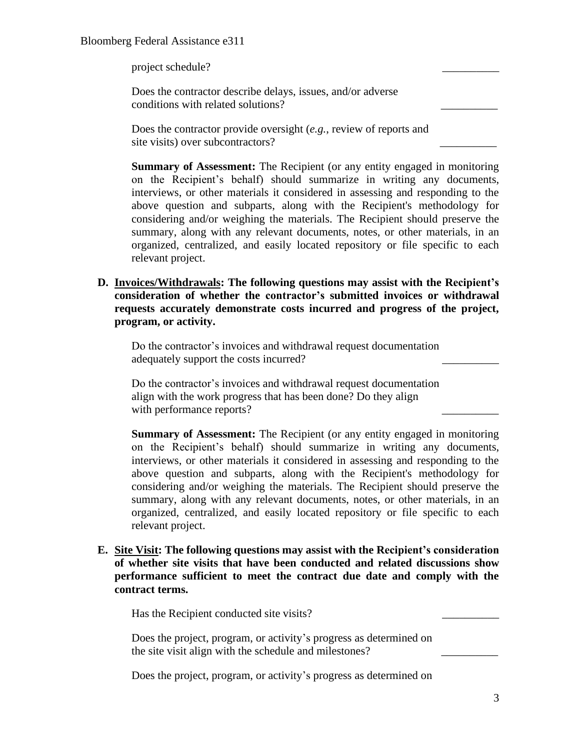### Bloomberg Federal Assistance e311

project schedule? \_\_\_\_\_\_\_\_\_\_

Does the contractor describe delays, issues, and/or adverse conditions with related solutions? \_\_\_\_\_\_\_\_\_\_

Does the contractor provide oversight (*e.g.*, review of reports and site visits) over subcontractors?

**Summary of Assessment:** The Recipient (or any entity engaged in monitoring on the Recipient's behalf) should summarize in writing any documents, interviews, or other materials it considered in assessing and responding to the above question and subparts, along with the Recipient's methodology for considering and/or weighing the materials. The Recipient should preserve the summary, along with any relevant documents, notes, or other materials, in an organized, centralized, and easily located repository or file specific to each relevant project.

**D. Invoices/Withdrawals: The following questions may assist with the Recipient's consideration of whether the contractor's submitted invoices or withdrawal requests accurately demonstrate costs incurred and progress of the project, program, or activity.** 

Do the contractor's invoices and withdrawal request documentation adequately support the costs incurred?

Do the contractor's invoices and withdrawal request documentation align with the work progress that has been done? Do they align with performance reports?

**Summary of Assessment:** The Recipient (or any entity engaged in monitoring on the Recipient's behalf) should summarize in writing any documents, interviews, or other materials it considered in assessing and responding to the above question and subparts, along with the Recipient's methodology for considering and/or weighing the materials. The Recipient should preserve the summary, along with any relevant documents, notes, or other materials, in an organized, centralized, and easily located repository or file specific to each relevant project.

**E. Site Visit: The following questions may assist with the Recipient's consideration of whether site visits that have been conducted and related discussions show performance sufficient to meet the contract due date and comply with the contract terms.** 

Has the Recipient conducted site visits?

Does the project, program, or activity's progress as determined on the site visit align with the schedule and milestones?

Does the project, program, or activity's progress as determined on